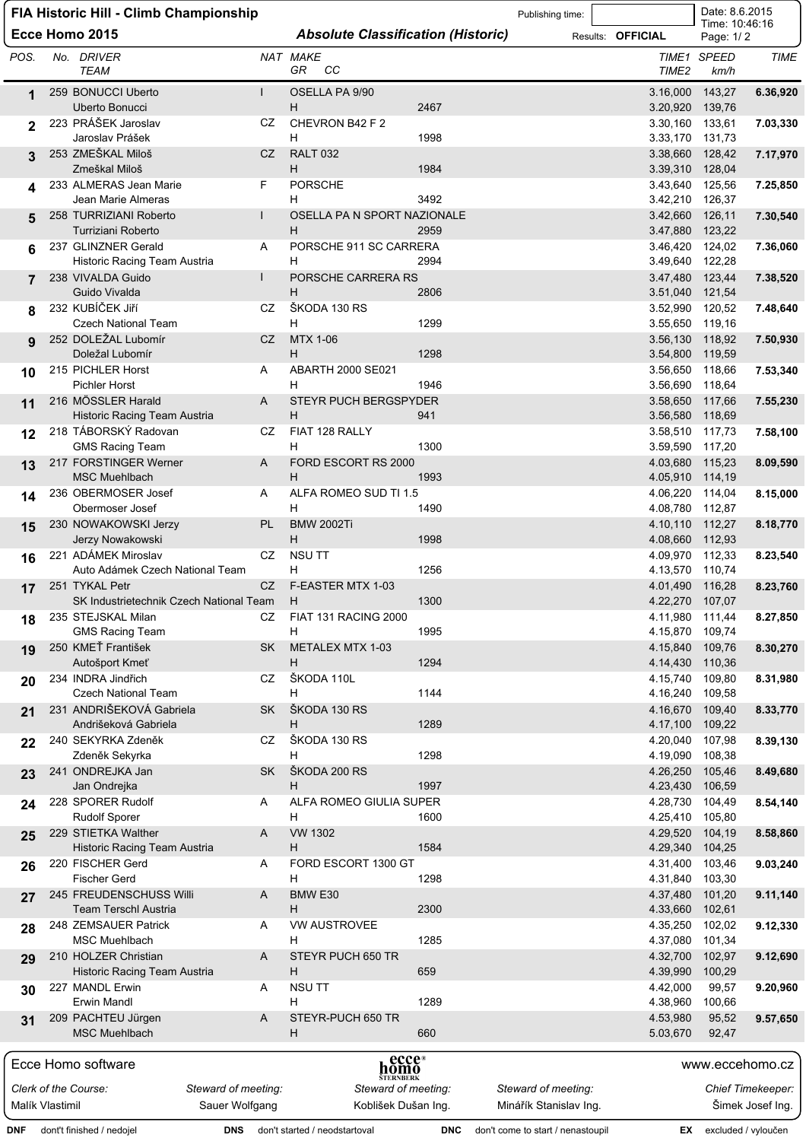| Date: 8.6.2015<br>FIA Historic Hill - Climb Championship<br>Publishing time:<br>Time: 10:46:16 |                                                                                        |  |                                                           |                     |           |                                           |            |                                   |  |                             |                               |                          |
|------------------------------------------------------------------------------------------------|----------------------------------------------------------------------------------------|--|-----------------------------------------------------------|---------------------|-----------|-------------------------------------------|------------|-----------------------------------|--|-----------------------------|-------------------------------|--------------------------|
|                                                                                                |                                                                                        |  | Ecce Homo 2015                                            |                     |           | <b>Absolute Classification (Historic)</b> |            |                                   |  | Results: <b>OFFICIAL</b>    | Page: 1/2                     |                          |
| POS.                                                                                           |                                                                                        |  | No. DRIVER<br><b>TEAM</b>                                 |                     |           | NAT MAKE<br>GR.<br>cс                     |            |                                   |  | TIME <sub>2</sub>           | TIME1 SPEED<br>km/h           | TIME                     |
| 1                                                                                              |                                                                                        |  | 259 BONUCCI Uberto<br>Uberto Bonucci                      |                     |           | OSELLA PA 9/90<br>H                       | 2467       |                                   |  | 3.16,000<br>3.20,920        | 143,27<br>139,76              | 6.36,920                 |
| 2                                                                                              |                                                                                        |  | 223 PRÁŠEK Jaroslav<br>Jaroslav Prášek                    |                     | CZ        | CHEVRON B42 F 2<br>H                      | 1998       |                                   |  | 3.30,160<br>3.33,170        | 133,61<br>131,73              | 7.03,330                 |
| 3                                                                                              |                                                                                        |  | 253 ZMEŠKAL Miloš<br>Zmeškal Miloš                        |                     | CZ        | <b>RALT 032</b><br>H                      | 1984       |                                   |  | 3.38,660<br>3.39,310        | 128,42<br>128,04              | 7.17,970                 |
|                                                                                                |                                                                                        |  | 233 ALMERAS Jean Marie<br>Jean Marie Almeras              |                     | F         | <b>PORSCHE</b><br>H                       | 3492       |                                   |  | 3.43,640<br>3.42,210        | 125,56<br>126,37              | 7.25,850                 |
| 5                                                                                              |                                                                                        |  | 258 TURRIZIANI Roberto<br>Turriziani Roberto              |                     |           | OSELLA PA N SPORT NAZIONALE<br>H          | 2959       |                                   |  | 3.42,660<br>3.47,880        | 126,11                        | 7.30,540                 |
| 6                                                                                              |                                                                                        |  | 237 GLINZNER Gerald                                       |                     | A         | PORSCHE 911 SC CARRERA                    |            |                                   |  | 3.46,420                    | 123,22<br>124,02              | 7.36,060                 |
|                                                                                                |                                                                                        |  | Historic Racing Team Austria<br>238 VIVALDA Guido         |                     |           | H<br>PORSCHE CARRERA RS                   | 2994       |                                   |  | 3.49,640<br>3.47,480        | 122,28<br>123,44              | 7.38,520                 |
| 8                                                                                              |                                                                                        |  | Guido Vivalda<br>232 KUBÍČEK JIří                         |                     | CZ.       | н<br>ŠKODA 130 RS                         | 2806       |                                   |  | 3.51,040<br>3.52,990        | 121,54<br>120,52              | 7.48,640                 |
|                                                                                                |                                                                                        |  | <b>Czech National Team</b>                                |                     |           | н                                         | 1299       |                                   |  | 3.55,650                    | 119,16                        |                          |
| 9                                                                                              |                                                                                        |  | 252 DOLEŽAL Lubomír<br>Doležal Lubomír                    |                     | CZ        | MTX 1-06<br>H                             | 1298       |                                   |  | 3.56,130<br>3.54,800        | 118,92<br>119,59              | 7.50,930                 |
| 10                                                                                             |                                                                                        |  | 215 PICHLER Horst                                         |                     | A         | <b>ABARTH 2000 SE021</b>                  |            |                                   |  | 3.56,650                    | 118,66                        | 7.53,340                 |
| 11                                                                                             |                                                                                        |  | <b>Pichler Horst</b><br>216 MÖSSLER Harald                |                     | A         | н<br><b>STEYR PUCH BERGSPYDER</b>         | 1946       |                                   |  | 3.56,690<br>3.58,650        | 118,64<br>117,66              | 7.55,230                 |
|                                                                                                |                                                                                        |  | Historic Racing Team Austria                              |                     |           | H                                         | 941        |                                   |  | 3.56,580                    | 118,69                        |                          |
| 12                                                                                             |                                                                                        |  | 218 TÁBORSKÝ Radovan<br><b>GMS Racing Team</b>            |                     | CZ        | FIAT 128 RALLY<br>н                       | 1300       |                                   |  | 3.58,510<br>3.59,590        | 117,73<br>117,20              | 7.58,100                 |
| 13                                                                                             |                                                                                        |  | 217 FORSTINGER Werner<br><b>MSC Muehlbach</b>             |                     | A         | FORD ESCORT RS 2000<br>H                  | 1993       |                                   |  | 4.03,680<br>4.05,910        | 115,23<br>114,19              | 8.09,590                 |
| 14                                                                                             |                                                                                        |  | 236 OBERMOSER Josef<br>Obermoser Josef                    |                     | Α         | ALFA ROMEO SUD TI 1.5<br>H                | 1490       |                                   |  | 4.06,220<br>4.08,780        | 114,04<br>112,87              | 8.15,000                 |
| 15                                                                                             |                                                                                        |  | 230 NOWAKOWSKI Jerzy<br>Jerzy Nowakowski                  |                     | PL        | <b>BMW 2002Ti</b><br>H                    | 1998       |                                   |  | 4.10,110<br>4.08,660        | 112,27<br>112,93              | 8.18,770                 |
| 16                                                                                             |                                                                                        |  | 221 ADÁMEK Miroslav<br>Auto Adámek Czech National Team    |                     | CZ        | <b>NSU TT</b><br>н                        | 1256       |                                   |  | 4.09.970<br>4.13,570        | 112,33<br>110,74              | 8.23,540                 |
| 17                                                                                             |                                                                                        |  | 251 TYKAL Petr<br>SK Industrietechnik Czech National Team |                     | CZ        | F-EASTER MTX 1-03<br>H                    | 1300       |                                   |  | 4.01,490<br>4.22,270 107,07 | 116,28                        | 8.23,760                 |
| 18                                                                                             |                                                                                        |  | 235 STEJSKAL Milan                                        |                     | CZ        | FIAT 131 RACING 2000                      |            |                                   |  | 4.11,980 111,44             |                               | 8.27,850                 |
| 19                                                                                             |                                                                                        |  | <b>GMS Racing Team</b><br>250 KMEŤ František              |                     | <b>SK</b> | н<br>METALEX MTX 1-03                     | 1995       |                                   |  | 4.15,870<br>4.15,840        | 109,74<br>109,76              | 8.30,270                 |
|                                                                                                |                                                                                        |  | Autošport Kmeť                                            |                     |           | H<br>ŠKODA 110L                           | 1294       |                                   |  | 4.14,430                    | 110,36                        |                          |
| 20                                                                                             |                                                                                        |  | 234 INDRA Jindřich<br><b>Czech National Team</b>          |                     | CZ        | н                                         | 1144       |                                   |  | 4.15,740<br>4.16,240        | 109,80<br>109,58              | 8.31,980                 |
| 21                                                                                             |                                                                                        |  | 231 ANDRIŠEKOVÁ Gabriela<br>Andrišeková Gabriela          |                     | <b>SK</b> | ŠKODA 130 RS<br>H                         | 1289       |                                   |  | 4.16,670<br>4.17,100        | 109,40<br>109,22              | 8.33,770                 |
| 22                                                                                             |                                                                                        |  | 240 SEKYRKA Zdeněk                                        |                     | CZ        | SKODA 130 RS                              |            |                                   |  | 4.20,040                    | 107,98                        | 8.39,130                 |
| 23                                                                                             |                                                                                        |  | Zdeněk Sekyrka<br>241 ONDREJKA Jan                        |                     | <b>SK</b> | н<br>SKODA 200 RS                         | 1298       |                                   |  | 4.19,090<br>4.26,250        | 108,38<br>105,46              | 8.49,680                 |
|                                                                                                |                                                                                        |  | Jan Ondrejka                                              |                     |           | H                                         | 1997       |                                   |  | 4.23,430                    | 106,59                        |                          |
| 24                                                                                             |                                                                                        |  | 228 SPORER Rudolf<br><b>Rudolf Sporer</b>                 |                     | Α         | ALFA ROMEO GIULIA SUPER<br>н              | 1600       |                                   |  | 4.28,730<br>4.25,410 105,80 | 104,49                        | 8.54,140                 |
| 25                                                                                             |                                                                                        |  | 229 STIETKA Walther<br>Historic Racing Team Austria       |                     | A         | <b>VW 1302</b><br>H                       | 1584       |                                   |  | 4.29,520<br>4.29,340        | 104,19<br>104,25              | 8.58,860                 |
| 26                                                                                             |                                                                                        |  | 220 FISCHER Gerd<br><b>Fischer Gerd</b>                   |                     | A         | FORD ESCORT 1300 GT<br>н                  | 1298       |                                   |  | 4.31,400<br>4.31,840        | 103,46<br>103,30              | 9.03,240                 |
| 27                                                                                             |                                                                                        |  | 245 FREUDENSCHUSS Willi<br><b>Team Terschl Austria</b>    |                     | A         | BMW E30<br>H                              | 2300       |                                   |  | 4.37,480<br>4.33,660        | 101,20<br>102,61              | 9.11,140                 |
| 28                                                                                             |                                                                                        |  | 248 ZEMSAUER Patrick                                      |                     | Α         | <b>VW AUSTROVEE</b><br>н                  | 1285       |                                   |  | 4.35,250                    | 102,02                        | 9.12,330                 |
| 29                                                                                             |                                                                                        |  | <b>MSC Muehlbach</b><br>210 HOLZER Christian              |                     | A         | STEYR PUCH 650 TR                         |            |                                   |  | 4.37,080<br>4.32,700        | 101,34<br>102,97              | 9.12,690                 |
| 30                                                                                             |                                                                                        |  | Historic Racing Team Austria<br>227 MANDL Erwin           |                     | A         | H<br><b>NSU TT</b>                        | 659        |                                   |  | 4.39,990<br>4.42,000        | 100,29<br>99,57               | 9.20,960                 |
| 31                                                                                             |                                                                                        |  | <b>Erwin Mandl</b><br>209 PACHTEU Jürgen                  |                     | A         | н<br>STEYR-PUCH 650 TR                    | 1289       |                                   |  | 4.38,960<br>4.53,980        | 100,66<br>95,52               | 9.57,650                 |
|                                                                                                |                                                                                        |  | <b>MSC Muehlbach</b>                                      |                     |           | H                                         | 660        |                                   |  | 5.03,670                    | 92,47                         |                          |
|                                                                                                | ecce <sup>®</sup><br>Ecce Homo software<br>www.eccehomo.cz<br>nomō<br><b>ŠTERNBERK</b> |  |                                                           |                     |           |                                           |            |                                   |  |                             |                               |                          |
|                                                                                                |                                                                                        |  | Clerk of the Course:                                      | Steward of meeting: |           | Steward of meeting:                       |            | Steward of meeting:               |  |                             |                               | <b>Chief Timekeeper:</b> |
| Malík Vlastimil                                                                                |                                                                                        |  |                                                           | Sauer Wolfgang      |           | Koblišek Dušan Ing.                       |            | Minářík Stanislav Ing.            |  |                             |                               | Šimek Josef Ing.         |
| DNF                                                                                            |                                                                                        |  | dont't finished / nedojel                                 |                     |           | <b>DNS</b> don't started / neodstartoval  | <b>DNC</b> | don't come to start / nenastoupil |  |                             | <b>EX</b> excluded / vyloučen |                          |